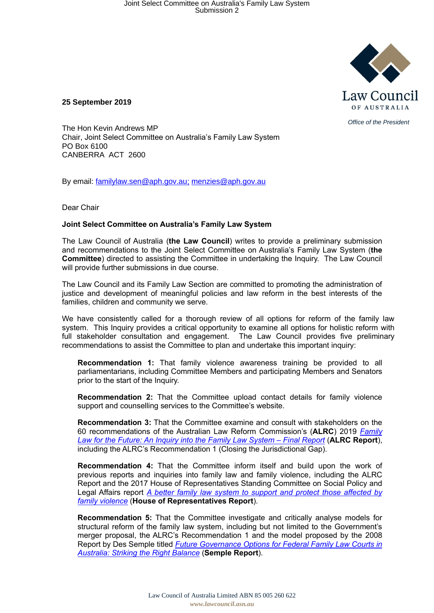

**25 September 2019**

The Hon Kevin Andrews MP Chair, Joint Select Committee on Australia's Family Law System PO Box 6100 CANBERRA ACT 2600

By email: familylaw.sen@aph.gov.au; menzies@aph.gov.au

Dear Chair

## **Joint Select Committee on Australia's Family Law System**

The Law Council of Australia (**the Law Council**) writes to provide a preliminary submission and recommendations to the Joint Select Committee on Australia's Family Law System (**the Committee**) directed to assisting the Committee in undertaking the Inquiry. The Law Council will provide further submissions in due course.

The Law Council and its Family Law Section are committed to promoting the administration of justice and development of meaningful policies and law reform in the best interests of the families, children and community we serve.

We have consistently called for a thorough review of all options for reform of the family law system. This Inquiry provides a critical opportunity to examine all options for holistic reform with full stakeholder consultation and engagement. The Law Council provides five preliminary recommendations to assist the Committee to plan and undertake this important inquiry:

**Recommendation 1:** That family violence awareness training be provided to all parliamentarians, including Committee Members and participating Members and Senators prior to the start of the Inquiry.

**Recommendation 2:** That the Committee upload contact details for family violence support and counselling services to the Committee's website.

**Recommendation 3:** That the Committee examine and consult with stakeholders on the 60 recommendations of the Australian Law Reform Commission's (**ALRC**) 2019 *Family Law for the Future: An Inquiry into the Family Law System – Final Report* (**ALRC Report**), including the ALRC's Recommendation 1 (Closing the Jurisdictional Gap).

**Recommendation 4:** That the Committee inform itself and build upon the work of previous reports and inquiries into family law and family violence, including the ALRC Report and the 2017 House of Representatives Standing Committee on Social Policy and Legal Affairs report *A better family law system to support and protect those affected by family violence* (**House of Representatives Report**).

**Recommendation 5:** That the Committee investigate and critically analyse models for structural reform of the family law system, including but not limited to the Government's merger proposal, the ALRC's Recommendation 1 and the model proposed by the 2008 Report by Des Semple titled *Future Governance Options for Federal Family Law Courts in Australia: Striking the Right Balance* (**Semple Report**).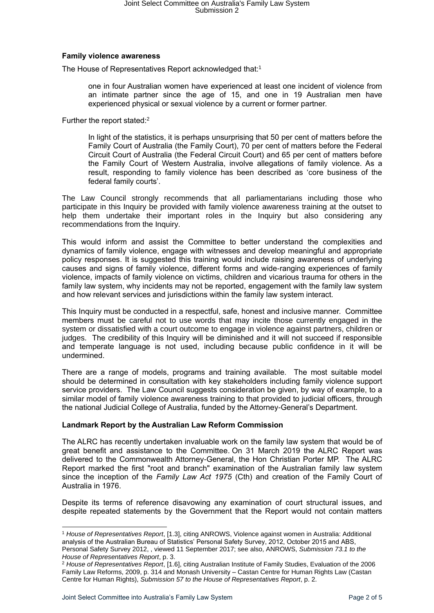## **Family violence awareness**

The House of Representatives Report acknowledged that:1

one in four Australian women have experienced at least one incident of violence from an intimate partner since the age of 15, and one in 19 Australian men have experienced physical or sexual violence by a current or former partner.

Further the report stated:<sup>2</sup>

In light of the statistics, it is perhaps unsurprising that 50 per cent of matters before the Family Court of Australia (the Family Court), 70 per cent of matters before the Federal Circuit Court of Australia (the Federal Circuit Court) and 65 per cent of matters before the Family Court of Western Australia, involve allegations of family violence. As a result, responding to family violence has been described as 'core business of the federal family courts'.

The Law Council strongly recommends that all parliamentarians including those who participate in this Inquiry be provided with family violence awareness training at the outset to help them undertake their important roles in the Inquiry but also considering any recommendations from the Inquiry.

This would inform and assist the Committee to better understand the complexities and dynamics of family violence, engage with witnesses and develop meaningful and appropriate policy responses. It is suggested this training would include raising awareness of underlying causes and signs of family violence, different forms and wide-ranging experiences of family violence, impacts of family violence on victims, children and vicarious trauma for others in the family law system, why incidents may not be reported, engagement with the family law system and how relevant services and jurisdictions within the family law system interact.

This Inquiry must be conducted in a respectful, safe, honest and inclusive manner. Committee members must be careful not to use words that may incite those currently engaged in the system or dissatisfied with a court outcome to engage in violence against partners, children or judges. The credibility of this Inquiry will be diminished and it will not succeed if responsible and temperate language is not used, including because public confidence in it will be undermined.

There are a range of models, programs and training available. The most suitable model should be determined in consultation with key stakeholders including family violence support service providers. The Law Council suggests consideration be given, by way of example, to a similar model of family violence awareness training to that provided to judicial officers, through the national Judicial College of Australia, funded by the Attorney-General's Department.

### **Landmark Report by the Australian Law Reform Commission**

The ALRC has recently undertaken invaluable work on the family law system that would be of great benefit and assistance to the Committee. On 31 March 2019 the ALRC Report was delivered to the Commonwealth Attorney-General, the Hon Christian Porter MP. The ALRC Report marked the first "root and branch" examination of the Australian family law system since the inception of the *Family Law Act 1975* (Cth) and creation of the Family Court of Australia in 1976.

Despite its terms of reference disavowing any examination of court structural issues, and despite repeated statements by the Government that the Report would not contain matters

<sup>1</sup> *House of Representatives Report*, [1.3], citing ANROWS, Violence against women in Australia: Additional analysis of the Australian Bureau of Statistics' Personal Safety Survey, 2012, October 2015 and ABS, Personal Safety Survey 2012, , viewed 11 September 2017; see also, ANROWS, *Submission 73.1 to the House of Representatives Report*, p. 3.

<sup>2</sup> *House of Representatives Report*, [1.6], citing Australian Institute of Family Studies, Evaluation of the 2006 Family Law Reforms, 2009, p. 314 and Monash University – Castan Centre for Human Rights Law (Castan Centre for Human Rights), *Submission 57 to the House of Representatives Report*, p. 2.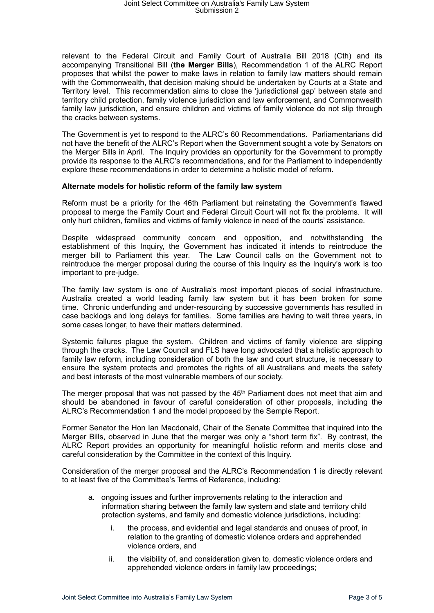# Joint Select Committee on Australia's Family Law System Submission 2

relevant to the Federal Circuit and Family Court of Australia Bill 2018 (Cth) and its accompanying Transitional Bill (**the Merger Bills**), Recommendation 1 of the ALRC Report proposes that whilst the power to make laws in relation to family law matters should remain with the Commonwealth, that decision making should be undertaken by Courts at a State and Territory level. This recommendation aims to close the 'jurisdictional gap' between state and territory child protection, family violence jurisdiction and law enforcement, and Commonwealth family law jurisdiction, and ensure children and victims of family violence do not slip through the cracks between systems.

The Government is yet to respond to the ALRC's 60 Recommendations. Parliamentarians did not have the benefit of the ALRC's Report when the Government sought a vote by Senators on the Merger Bills in April. The Inquiry provides an opportunity for the Government to promptly provide its response to the ALRC's recommendations, and for the Parliament to independently explore these recommendations in order to determine a holistic model of reform.

### **Alternate models for holistic reform of the family law system**

Reform must be a priority for the 46th Parliament but reinstating the Government's flawed proposal to merge the Family Court and Federal Circuit Court will not fix the problems. It will only hurt children, families and victims of family violence in need of the courts' assistance.

Despite widespread community concern and opposition, and notwithstanding the establishment of this Inquiry, the Government has indicated it intends to reintroduce the merger bill to Parliament this year. The Law Council calls on the Government not to reintroduce the merger proposal during the course of this Inquiry as the Inquiry's work is too important to pre-judge.

The family law system is one of Australia's most important pieces of social infrastructure. Australia created a world leading family law system but it has been broken for some time. Chronic underfunding and under-resourcing by successive governments has resulted in case backlogs and long delays for families. Some families are having to wait three years, in some cases longer, to have their matters determined.

Systemic failures plague the system. Children and victims of family violence are slipping through the cracks. The Law Council and FLS have long advocated that a holistic approach to family law reform, including consideration of both the law and court structure, is necessary to ensure the system protects and promotes the rights of all Australians and meets the safety and best interests of the most vulnerable members of our society.

The merger proposal that was not passed by the 45<sup>th</sup> Parliament does not meet that aim and should be abandoned in favour of careful consideration of other proposals, including the ALRC's Recommendation 1 and the model proposed by the Semple Report.

Former Senator the Hon Ian Macdonald, Chair of the Senate Committee that inquired into the Merger Bills, observed in June that the merger was only a "short term fix". By contrast, the ALRC Report provides an opportunity for meaningful holistic reform and merits close and careful consideration by the Committee in the context of this Inquiry.

Consideration of the merger proposal and the ALRC's Recommendation 1 is directly relevant to at least five of the Committee's Terms of Reference, including:

- a. ongoing issues and further improvements relating to the interaction and information sharing between the family law system and state and territory child protection systems, and family and domestic violence jurisdictions, including:
	- i. the process, and evidential and legal standards and onuses of proof, in relation to the granting of domestic violence orders and apprehended violence orders, and
	- ii. the visibility of, and consideration given to, domestic violence orders and apprehended violence orders in family law proceedings;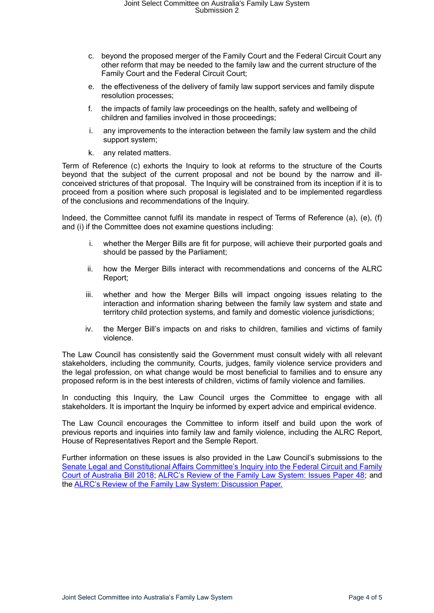- c. beyond the proposed merger of the Family Court and the Federal Circuit Court any other reform that may be needed to the family law and the current structure of the Family Court and the Federal Circuit Court;
- e. the effectiveness of the delivery of family law support services and family dispute resolution processes;
- f. the impacts of family law proceedings on the health, safety and wellbeing of children and families involved in those proceedings;
- i. any improvements to the interaction between the family law system and the child support system;
- k. any related matters.

Term of Reference (c) exhorts the Inquiry to look at reforms to the structure of the Courts beyond that the subject of the current proposal and not be bound by the narrow and illconceived strictures of that proposal. The Inquiry will be constrained from its inception if it is to proceed from a position where such proposal is legislated and to be implemented regardless of the conclusions and recommendations of the Inquiry.

Indeed, the Committee cannot fulfil its mandate in respect of Terms of Reference (a), (e), (f) and (i) if the Committee does not examine questions including:

- i. whether the Merger Bills are fit for purpose, will achieve their purported goals and should be passed by the Parliament;
- ii. how the Merger Bills interact with recommendations and concerns of the ALRC Report;
- iii. whether and how the Merger Bills will impact ongoing issues relating to the interaction and information sharing between the family law system and state and territory child protection systems, and family and domestic violence jurisdictions;
- iv. the Merger Bill's impacts on and risks to children, families and victims of family violence.

The Law Council has consistently said the Government must consult widely with all relevant stakeholders, including the community, Courts, judges, family violence service providers and the legal profession, on what change would be most beneficial to families and to ensure any proposed reform is in the best interests of children, victims of family violence and families.

In conducting this Inquiry, the Law Council urges the Committee to engage with all stakeholders. It is important the Inquiry be informed by expert advice and empirical evidence.

The Law Council encourages the Committee to inform itself and build upon the work of previous reports and inquiries into family law and family violence, including the ALRC Report, House of Representatives Report and the Semple Report.

Further information on these issues is also provided in the Law Council's submissions to the Senate Legal and Constitutional Affairs Committee's Inquiry into the Federal Circuit and Family Court of Australia Bill 2018; ALRC's Review of the Family Law System: Issues Paper 48; and the ALRC's Review of the Family Law System: Discussion Paper.